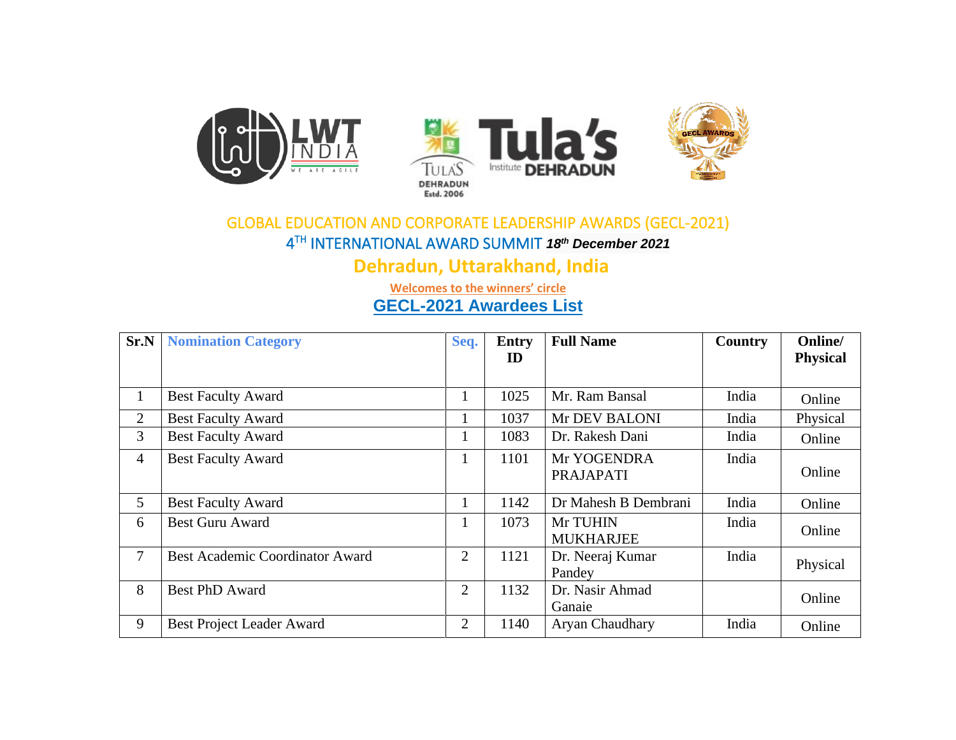

## GLOBAL EDUCATION AND CORPORATE LEADERSHIP AWARDS (GECL-2021) 4 TH INTERNATIONAL AWARD SUMMIT *18th December 2021*

**Dehradun, Uttarakhand, India**

**Welcomes to the winners' circle**

**GECL-2021 Awardees List** 

| Sr.N           | <b>Nomination Category</b>             | Seq.           | <b>Entry</b><br>ID | <b>Full Name</b>                | Country | Online/<br><b>Physical</b> |
|----------------|----------------------------------------|----------------|--------------------|---------------------------------|---------|----------------------------|
|                |                                        |                |                    |                                 |         |                            |
| $\mathbf{1}$   | <b>Best Faculty Award</b>              |                | 1025               | Mr. Ram Bansal                  | India   | Online                     |
| 2              | <b>Best Faculty Award</b>              |                | 1037               | Mr DEV BALONI                   | India   | Physical                   |
| 3              | <b>Best Faculty Award</b>              |                | 1083               | Dr. Rakesh Dani                 | India   | Online                     |
| $\overline{4}$ | <b>Best Faculty Award</b>              |                | 1101               | Mr YOGENDRA<br><b>PRAJAPATI</b> | India   | Online                     |
| 5              | <b>Best Faculty Award</b>              |                | 1142               | Dr Mahesh B Dembrani            | India   | Online                     |
| 6              | <b>Best Guru Award</b>                 |                | 1073               | Mr TUHIN<br><b>MUKHARJEE</b>    | India   | Online                     |
| 7              | <b>Best Academic Coordinator Award</b> | $\overline{2}$ | 1121               | Dr. Neeraj Kumar<br>Pandey      | India   | Physical                   |
| 8              | <b>Best PhD Award</b>                  | 2              | 1132               | Dr. Nasir Ahmad<br>Ganaie       |         | Online                     |
| 9              | <b>Best Project Leader Award</b>       | $\overline{2}$ | 1140               | Aryan Chaudhary                 | India   | Online                     |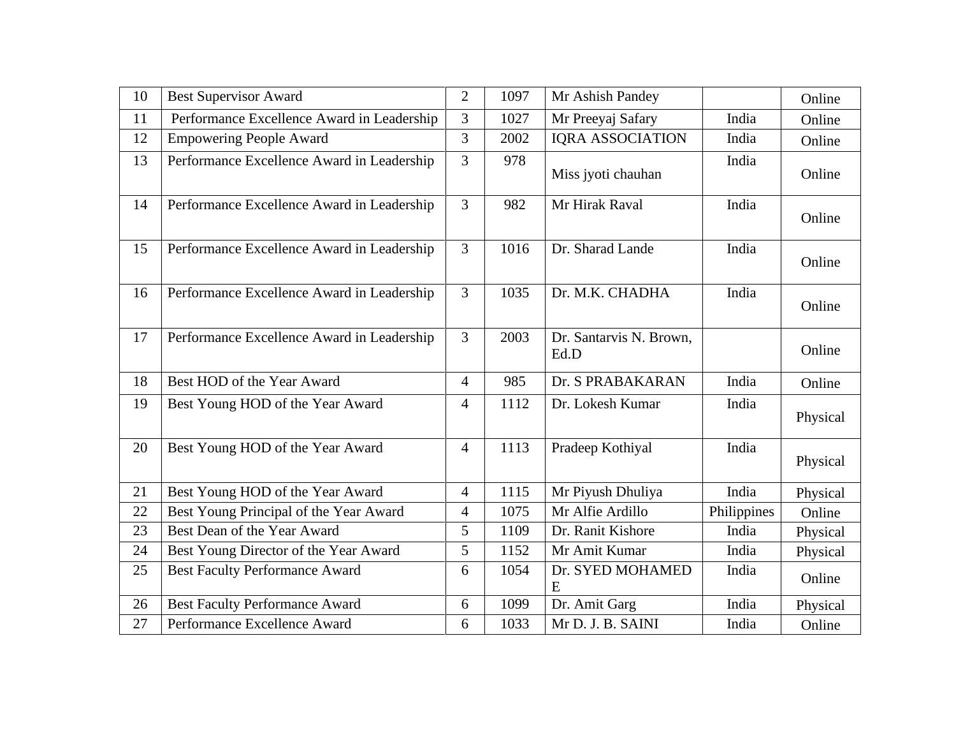| 10 | <b>Best Supervisor Award</b>               | $\overline{2}$ | 1097 | Mr Ashish Pandey                |             | Online   |
|----|--------------------------------------------|----------------|------|---------------------------------|-------------|----------|
| 11 | Performance Excellence Award in Leadership | 3              | 1027 | Mr Preeyaj Safary               | India       | Online   |
| 12 | <b>Empowering People Award</b>             | 3              | 2002 | <b>IQRA ASSOCIATION</b>         | India       | Online   |
| 13 | Performance Excellence Award in Leadership | $\overline{3}$ | 978  | Miss jyoti chauhan              | India       | Online   |
| 14 | Performance Excellence Award in Leadership | $\overline{3}$ | 982  | Mr Hirak Raval                  | India       | Online   |
| 15 | Performance Excellence Award in Leadership | $\overline{3}$ | 1016 | Dr. Sharad Lande                | India       | Online   |
| 16 | Performance Excellence Award in Leadership | $\overline{3}$ | 1035 | Dr. M.K. CHADHA                 | India       | Online   |
| 17 | Performance Excellence Award in Leadership | $\overline{3}$ | 2003 | Dr. Santarvis N. Brown,<br>Ed.D |             | Online   |
| 18 | Best HOD of the Year Award                 | $\overline{4}$ | 985  | Dr. S PRABAKARAN                | India       | Online   |
| 19 | Best Young HOD of the Year Award           | $\overline{4}$ | 1112 | Dr. Lokesh Kumar                | India       | Physical |
| 20 | Best Young HOD of the Year Award           | $\overline{4}$ | 1113 | Pradeep Kothiyal                | India       | Physical |
| 21 | Best Young HOD of the Year Award           | $\overline{4}$ | 1115 | Mr Piyush Dhuliya               | India       | Physical |
| 22 | Best Young Principal of the Year Award     | $\overline{4}$ | 1075 | Mr Alfie Ardillo                | Philippines | Online   |
| 23 | Best Dean of the Year Award                | 5              | 1109 | Dr. Ranit Kishore               | India       | Physical |
| 24 | Best Young Director of the Year Award      | 5              | 1152 | Mr Amit Kumar                   | India       | Physical |
| 25 | <b>Best Faculty Performance Award</b>      | 6              | 1054 | Dr. SYED MOHAMED<br>E           | India       | Online   |
| 26 | <b>Best Faculty Performance Award</b>      | 6              | 1099 | Dr. Amit Garg                   | India       | Physical |
| 27 | Performance Excellence Award               | 6              | 1033 | Mr D. J. B. SAINI               | India       | Online   |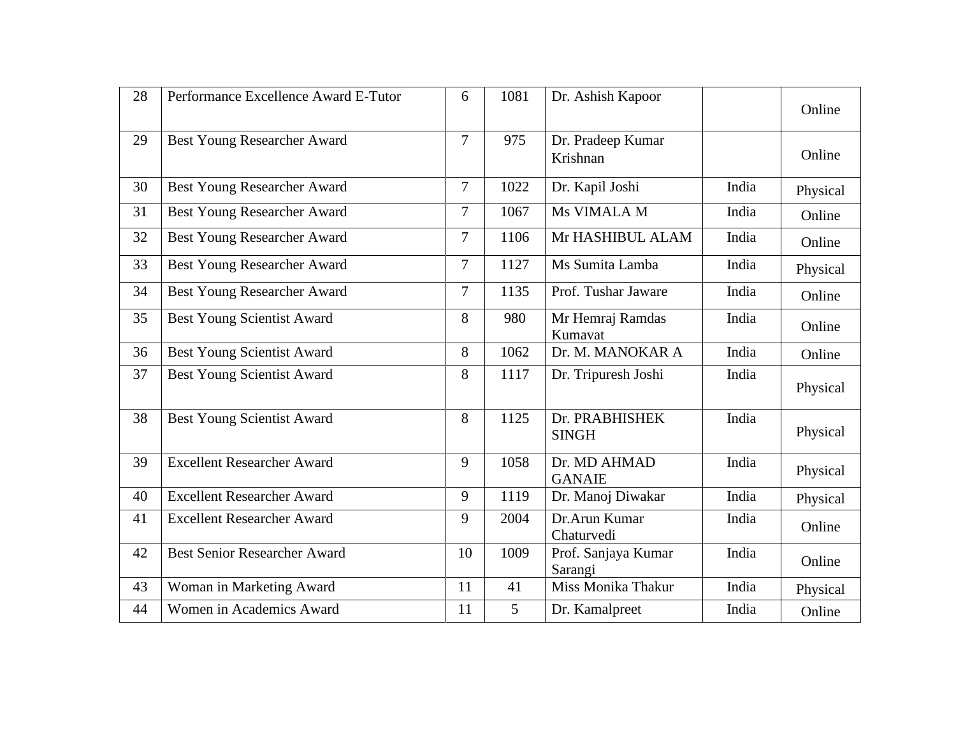| 28 | Performance Excellence Award E-Tutor | 6              | 1081           | Dr. Ashish Kapoor              |       | Online   |
|----|--------------------------------------|----------------|----------------|--------------------------------|-------|----------|
| 29 | <b>Best Young Researcher Award</b>   | 7              | 975            | Dr. Pradeep Kumar<br>Krishnan  |       | Online   |
| 30 | <b>Best Young Researcher Award</b>   | $\overline{7}$ | 1022           | Dr. Kapil Joshi                | India | Physical |
| 31 | Best Young Researcher Award          | 7              | 1067           | Ms VIMALA M                    | India | Online   |
| 32 | <b>Best Young Researcher Award</b>   | 7              | 1106           | Mr HASHIBUL ALAM               | India | Online   |
| 33 | <b>Best Young Researcher Award</b>   | $\overline{7}$ | 1127           | Ms Sumita Lamba                | India | Physical |
| 34 | <b>Best Young Researcher Award</b>   | 7              | 1135           | Prof. Tushar Jaware            | India | Online   |
| 35 | <b>Best Young Scientist Award</b>    | 8              | 980            | Mr Hemraj Ramdas<br>Kumavat    | India | Online   |
| 36 | <b>Best Young Scientist Award</b>    | 8              | 1062           | Dr. M. MANOKAR A               | India | Online   |
| 37 | Best Young Scientist Award           | 8              | 1117           | Dr. Tripuresh Joshi            | India | Physical |
| 38 | <b>Best Young Scientist Award</b>    | 8              | 1125           | Dr. PRABHISHEK<br><b>SINGH</b> | India | Physical |
| 39 | <b>Excellent Researcher Award</b>    | 9              | 1058           | Dr. MD AHMAD<br><b>GANAIE</b>  | India | Physical |
| 40 | <b>Excellent Researcher Award</b>    | 9              | 1119           | Dr. Manoj Diwakar              | India | Physical |
| 41 | <b>Excellent Researcher Award</b>    | 9              | 2004           | Dr.Arun Kumar<br>Chaturvedi    | India | Online   |
| 42 | <b>Best Senior Researcher Award</b>  | 10             | 1009           | Prof. Sanjaya Kumar<br>Sarangi | India | Online   |
| 43 | Woman in Marketing Award             | 11             | 41             | Miss Monika Thakur             | India | Physical |
| 44 | Women in Academics Award             | 11             | $\overline{5}$ | Dr. Kamalpreet                 | India | Online   |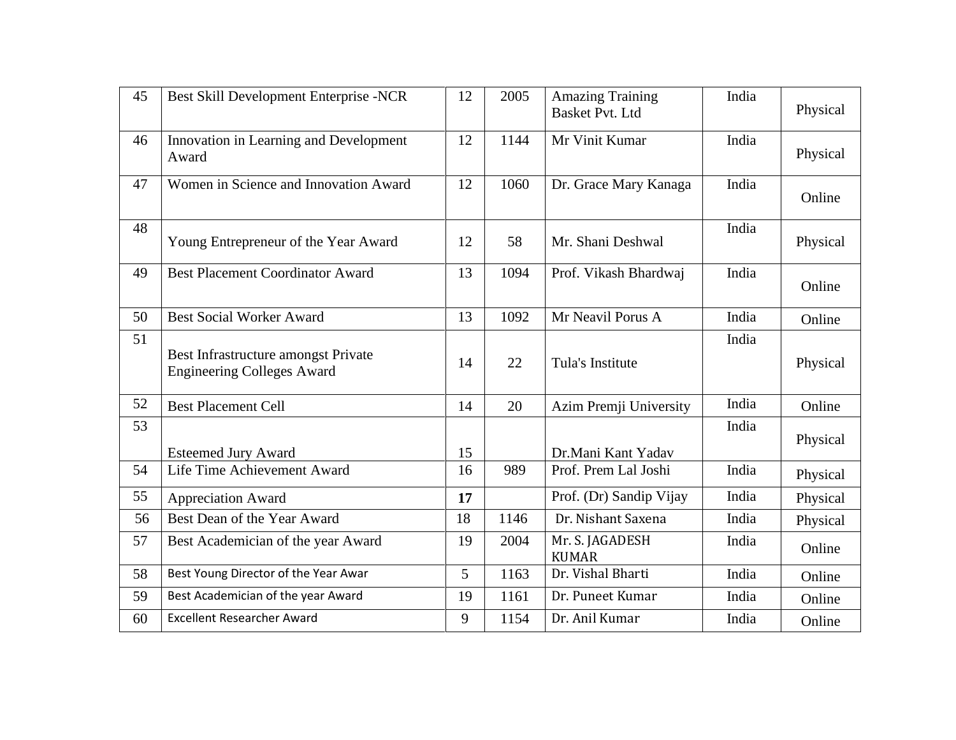| 45 | Best Skill Development Enterprise -NCR                                   | 12 | 2005 | <b>Amazing Training</b><br><b>Basket Pvt. Ltd</b> | India | Physical |
|----|--------------------------------------------------------------------------|----|------|---------------------------------------------------|-------|----------|
| 46 | Innovation in Learning and Development<br>Award                          | 12 | 1144 | Mr Vinit Kumar                                    | India | Physical |
| 47 | Women in Science and Innovation Award                                    | 12 | 1060 | Dr. Grace Mary Kanaga                             | India | Online   |
| 48 | Young Entrepreneur of the Year Award                                     | 12 | 58   | Mr. Shani Deshwal                                 | India | Physical |
| 49 | <b>Best Placement Coordinator Award</b>                                  | 13 | 1094 | Prof. Vikash Bhardwaj                             | India | Online   |
| 50 | <b>Best Social Worker Award</b>                                          | 13 | 1092 | Mr Neavil Porus A                                 | India | Online   |
| 51 | Best Infrastructure amongst Private<br><b>Engineering Colleges Award</b> | 14 | 22   | Tula's Institute                                  | India | Physical |
| 52 | <b>Best Placement Cell</b>                                               | 14 | 20   | Azim Premji University                            | India | Online   |
| 53 | <b>Esteemed Jury Award</b>                                               | 15 |      | Dr.Mani Kant Yadav                                | India | Physical |
| 54 | Life Time Achievement Award                                              | 16 | 989  | Prof. Prem Lal Joshi                              | India | Physical |
| 55 | <b>Appreciation Award</b>                                                | 17 |      | Prof. (Dr) Sandip Vijay                           | India | Physical |
| 56 | Best Dean of the Year Award                                              | 18 | 1146 | Dr. Nishant Saxena                                | India | Physical |
| 57 | Best Academician of the year Award                                       | 19 | 2004 | Mr. S. JAGADESH<br><b>KUMAR</b>                   | India | Online   |
| 58 | Best Young Director of the Year Awar                                     | 5  | 1163 | Dr. Vishal Bharti                                 | India | Online   |
| 59 | Best Academician of the year Award                                       | 19 | 1161 | Dr. Puneet Kumar                                  | India | Online   |
| 60 | <b>Excellent Researcher Award</b>                                        | 9  | 1154 | Dr. Anil Kumar                                    | India | Online   |